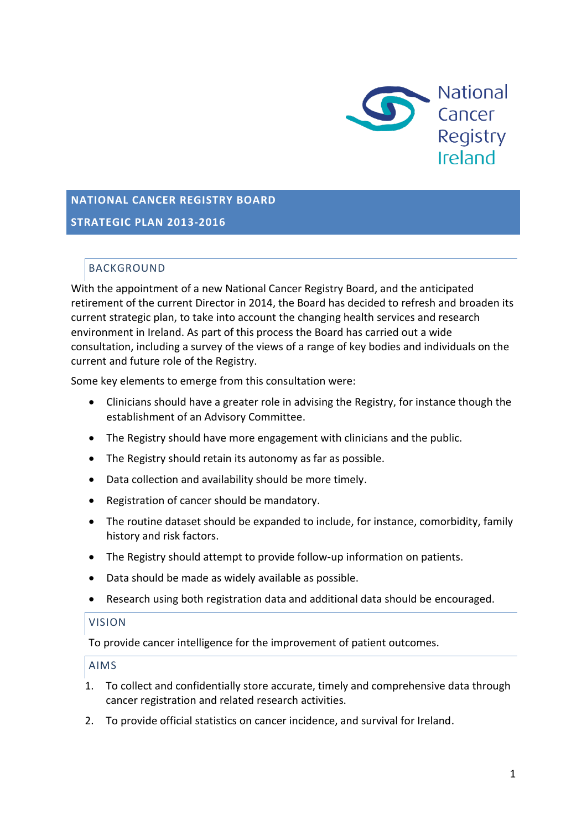

# **NATIONAL CANCER REGISTRY BOARD STRATEGIC PLAN 2013-2016**

## BACKGROUND

With the appointment of a new National Cancer Registry Board, and the anticipated retirement of the current Director in 2014, the Board has decided to refresh and broaden its current strategic plan, to take into account the changing health services and research environment in Ireland. As part of this process the Board has carried out a wide consultation, including a survey of the views of a range of key bodies and individuals on the current and future role of the Registry.

Some key elements to emerge from this consultation were:

- Clinicians should have a greater role in advising the Registry, for instance though the establishment of an Advisory Committee.
- The Registry should have more engagement with clinicians and the public.
- The Registry should retain its autonomy as far as possible.
- Data collection and availability should be more timely.
- Registration of cancer should be mandatory.
- The routine dataset should be expanded to include, for instance, comorbidity, family history and risk factors.
- The Registry should attempt to provide follow-up information on patients.
- Data should be made as widely available as possible.
- Research using both registration data and additional data should be encouraged.

## VISION

To provide cancer intelligence for the improvement of patient outcomes.

## AIMS

- 1. To collect and confidentially store accurate, timely and comprehensive data through cancer registration and related research activities.
- 2. To provide official statistics on cancer incidence, and survival for Ireland.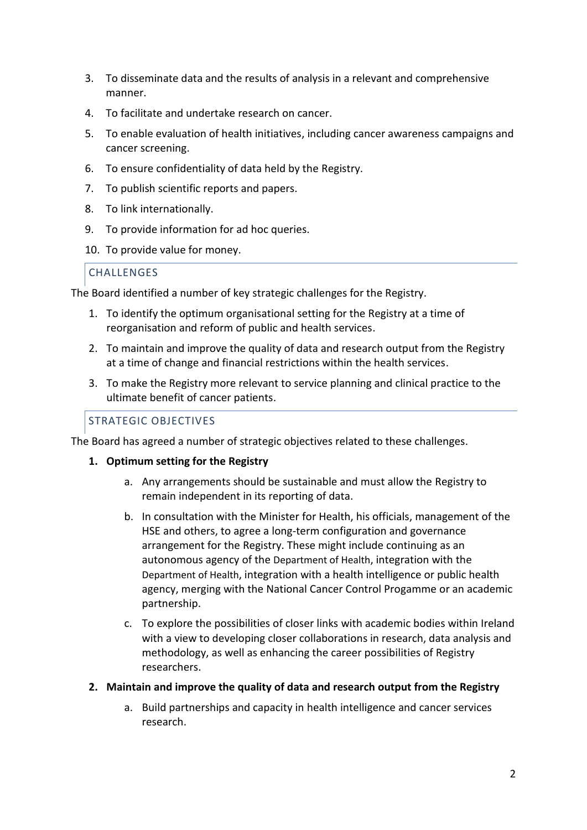- 3. To disseminate data and the results of analysis in a relevant and comprehensive manner.
- 4. To facilitate and undertake research on cancer.
- 5. To enable evaluation of health initiatives, including cancer awareness campaigns and cancer screening.
- 6. To ensure confidentiality of data held by the Registry.
- 7. To publish scientific reports and papers.
- 8. To link internationally.
- 9. To provide information for ad hoc queries.
- 10. To provide value for money.

## **CHALLENGES**

The Board identified a number of key strategic challenges for the Registry.

- 1. To identify the optimum organisational setting for the Registry at a time of reorganisation and reform of public and health services.
- 2. To maintain and improve the quality of data and research output from the Registry at a time of change and financial restrictions within the health services.
- 3. To make the Registry more relevant to service planning and clinical practice to the ultimate benefit of cancer patients.

## STRATEGIC OBJECTIVES

The Board has agreed a number of strategic objectives related to these challenges.

- **1. Optimum setting for the Registry** 
	- a. Any arrangements should be sustainable and must allow the Registry to remain independent in its reporting of data.
	- b. In consultation with the Minister for Health, his officials, management of the HSE and others, to agree a long-term configuration and governance arrangement for the Registry. These might include continuing as an autonomous agency of the Department of Health, integration with the Department of Health, integration with a health intelligence or public health agency, merging with the National Cancer Control Progamme or an academic partnership.
	- c. To explore the possibilities of closer links with academic bodies within Ireland with a view to developing closer collaborations in research, data analysis and methodology, as well as enhancing the career possibilities of Registry researchers.

#### **2. Maintain and improve the quality of data and research output from the Registry**

a. Build partnerships and capacity in health intelligence and cancer services research.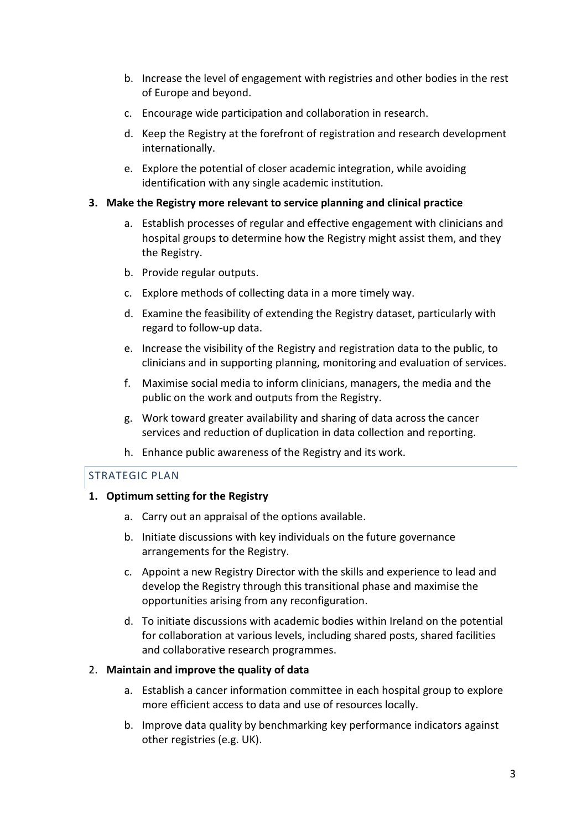- b. Increase the level of engagement with registries and other bodies in the rest of Europe and beyond.
- c. Encourage wide participation and collaboration in research.
- d. Keep the Registry at the forefront of registration and research development internationally.
- e. Explore the potential of closer academic integration, while avoiding identification with any single academic institution.

#### **3. Make the Registry more relevant to service planning and clinical practice**

- a. Establish processes of regular and effective engagement with clinicians and hospital groups to determine how the Registry might assist them, and they the Registry.
- b. Provide regular outputs.
- c. Explore methods of collecting data in a more timely way.
- d. Examine the feasibility of extending the Registry dataset, particularly with regard to follow-up data.
- e. Increase the visibility of the Registry and registration data to the public, to clinicians and in supporting planning, monitoring and evaluation of services.
- f. Maximise social media to inform clinicians, managers, the media and the public on the work and outputs from the Registry.
- g. Work toward greater availability and sharing of data across the cancer services and reduction of duplication in data collection and reporting.
- h. Enhance public awareness of the Registry and its work.

## STRATEGIC PLAN

## **1. Optimum setting for the Registry**

- a. Carry out an appraisal of the options available.
- b. Initiate discussions with key individuals on the future governance arrangements for the Registry.
- c. Appoint a new Registry Director with the skills and experience to lead and develop the Registry through this transitional phase and maximise the opportunities arising from any reconfiguration.
- d. To initiate discussions with academic bodies within Ireland on the potential for collaboration at various levels, including shared posts, shared facilities and collaborative research programmes.

## 2. **Maintain and improve the quality of data**

- a. Establish a cancer information committee in each hospital group to explore more efficient access to data and use of resources locally.
- b. Improve data quality by benchmarking key performance indicators against other registries (e.g. UK).